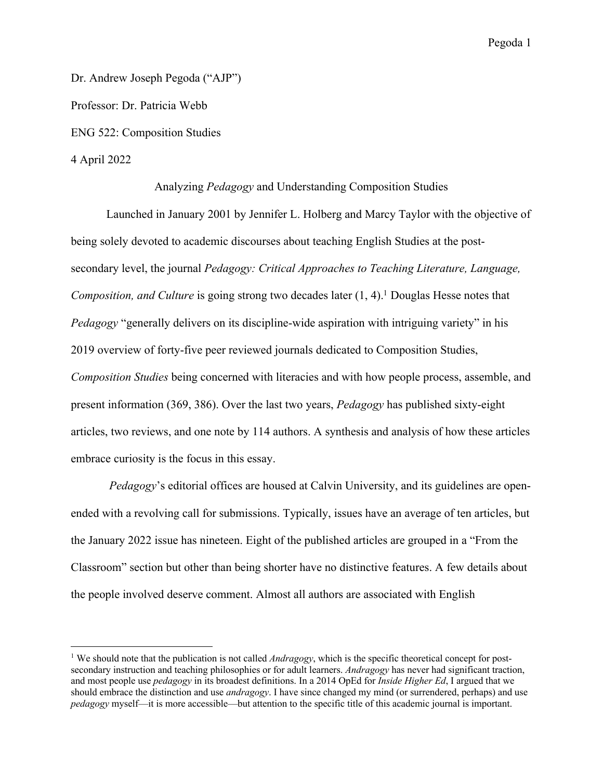Dr. Andrew Joseph Pegoda ("AJP") Professor: Dr. Patricia Webb ENG 522: Composition Studies 4 April 2022

Analyzing *Pedagogy* and Understanding Composition Studies

Launched in January 2001 by Jennifer L. Holberg and Marcy Taylor with the objective of being solely devoted to academic discourses about teaching English Studies at the postsecondary level, the journal *Pedagogy: Critical Approaches to Teaching Literature, Language, Composition, and Culture* is going strong two decades later (1, 4). <sup>1</sup> Douglas Hesse notes that *Pedagogy* "generally delivers on its discipline-wide aspiration with intriguing variety" in his 2019 overview of forty-five peer reviewed journals dedicated to Composition Studies, *Composition Studies* being concerned with literacies and with how people process, assemble, and present information (369, 386). Over the last two years, *Pedagogy* has published sixty-eight articles, two reviews, and one note by 114 authors. A synthesis and analysis of how these articles embrace curiosity is the focus in this essay.

*Pedagogy*'s editorial offices are housed at Calvin University, and its guidelines are openended with a revolving call for submissions. Typically, issues have an average of ten articles, but the January 2022 issue has nineteen. Eight of the published articles are grouped in a "From the Classroom" section but other than being shorter have no distinctive features. A few details about the people involved deserve comment. Almost all authors are associated with English

<sup>&</sup>lt;sup>1</sup> We should note that the publication is not called *Andragogy*, which is the specific theoretical concept for postsecondary instruction and teaching philosophies or for adult learners. *Andragogy* has never had significant traction, and most people use *pedagogy* in its broadest definitions. In a 2014 OpEd for *Inside Higher Ed*, I argued that we should embrace the distinction and use *andragogy*. I have since changed my mind (or surrendered, perhaps) and use *pedagogy* myself—it is more accessible—but attention to the specific title of this academic journal is important.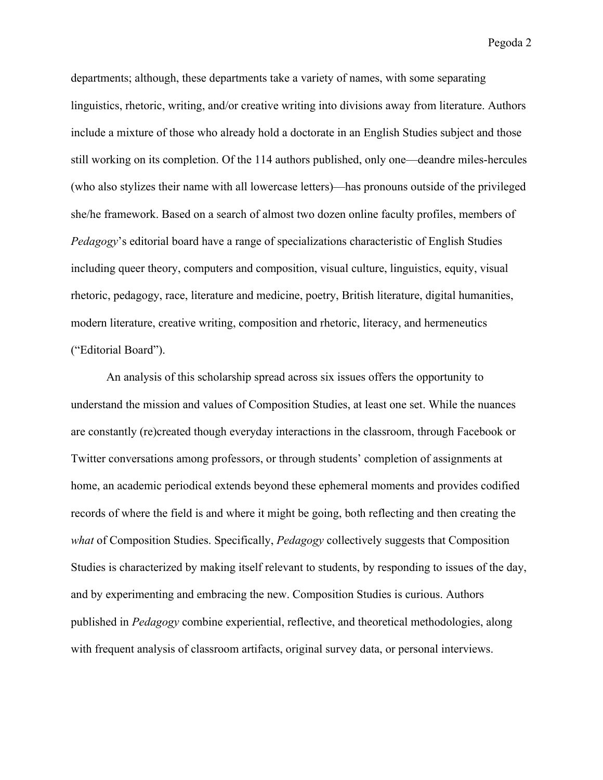departments; although, these departments take a variety of names, with some separating linguistics, rhetoric, writing, and/or creative writing into divisions away from literature. Authors include a mixture of those who already hold a doctorate in an English Studies subject and those still working on its completion. Of the 114 authors published, only one—deandre miles-hercules (who also stylizes their name with all lowercase letters)—has pronouns outside of the privileged she/he framework. Based on a search of almost two dozen online faculty profiles, members of *Pedagogy*'s editorial board have a range of specializations characteristic of English Studies including queer theory, computers and composition, visual culture, linguistics, equity, visual rhetoric, pedagogy, race, literature and medicine, poetry, British literature, digital humanities, modern literature, creative writing, composition and rhetoric, literacy, and hermeneutics ("Editorial Board").

An analysis of this scholarship spread across six issues offers the opportunity to understand the mission and values of Composition Studies, at least one set. While the nuances are constantly (re)created though everyday interactions in the classroom, through Facebook or Twitter conversations among professors, or through students' completion of assignments at home, an academic periodical extends beyond these ephemeral moments and provides codified records of where the field is and where it might be going, both reflecting and then creating the *what* of Composition Studies. Specifically, *Pedagogy* collectively suggests that Composition Studies is characterized by making itself relevant to students, by responding to issues of the day, and by experimenting and embracing the new. Composition Studies is curious. Authors published in *Pedagogy* combine experiential, reflective, and theoretical methodologies, along with frequent analysis of classroom artifacts, original survey data, or personal interviews.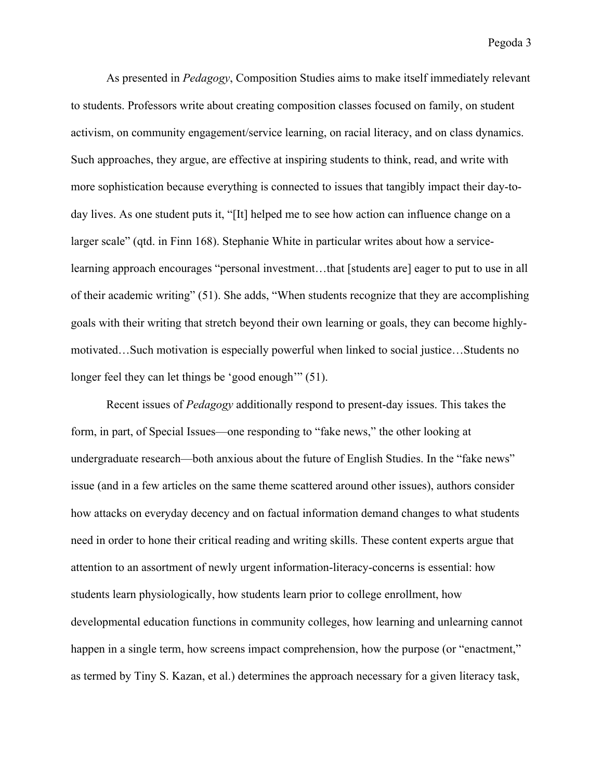As presented in *Pedagogy*, Composition Studies aims to make itself immediately relevant to students. Professors write about creating composition classes focused on family, on student activism, on community engagement/service learning, on racial literacy, and on class dynamics. Such approaches, they argue, are effective at inspiring students to think, read, and write with more sophistication because everything is connected to issues that tangibly impact their day-today lives. As one student puts it, "[It] helped me to see how action can influence change on a larger scale" (qtd. in Finn 168). Stephanie White in particular writes about how a servicelearning approach encourages "personal investment…that [students are] eager to put to use in all of their academic writing" (51). She adds, "When students recognize that they are accomplishing goals with their writing that stretch beyond their own learning or goals, they can become highlymotivated…Such motivation is especially powerful when linked to social justice…Students no longer feel they can let things be 'good enough'" (51).

Recent issues of *Pedagogy* additionally respond to present-day issues. This takes the form, in part, of Special Issues—one responding to "fake news," the other looking at undergraduate research—both anxious about the future of English Studies. In the "fake news" issue (and in a few articles on the same theme scattered around other issues), authors consider how attacks on everyday decency and on factual information demand changes to what students need in order to hone their critical reading and writing skills. These content experts argue that attention to an assortment of newly urgent information-literacy-concerns is essential: how students learn physiologically, how students learn prior to college enrollment, how developmental education functions in community colleges, how learning and unlearning cannot happen in a single term, how screens impact comprehension, how the purpose (or "enactment," as termed by Tiny S. Kazan, et al.) determines the approach necessary for a given literacy task,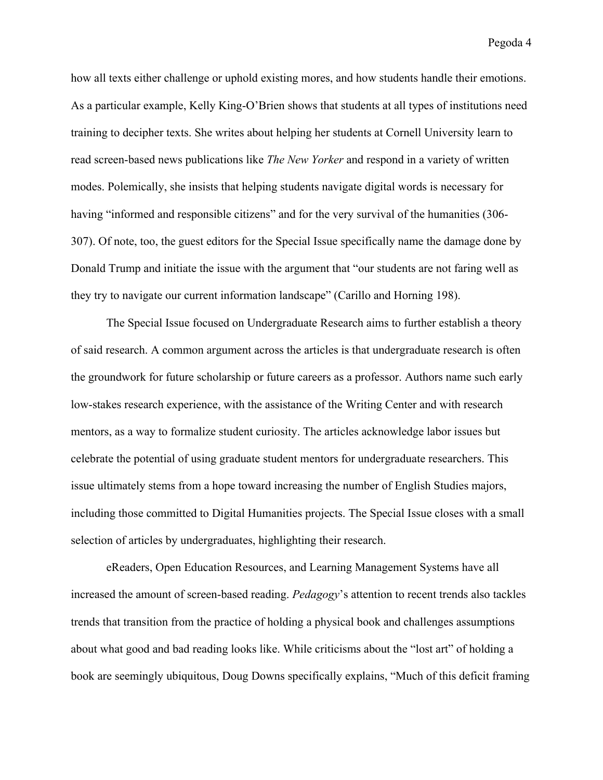how all texts either challenge or uphold existing mores, and how students handle their emotions. As a particular example, Kelly King-O'Brien shows that students at all types of institutions need training to decipher texts. She writes about helping her students at Cornell University learn to read screen-based news publications like *The New Yorker* and respond in a variety of written modes. Polemically, she insists that helping students navigate digital words is necessary for having "informed and responsible citizens" and for the very survival of the humanities (306-307). Of note, too, the guest editors for the Special Issue specifically name the damage done by Donald Trump and initiate the issue with the argument that "our students are not faring well as they try to navigate our current information landscape" (Carillo and Horning 198).

The Special Issue focused on Undergraduate Research aims to further establish a theory of said research. A common argument across the articles is that undergraduate research is often the groundwork for future scholarship or future careers as a professor. Authors name such early low-stakes research experience, with the assistance of the Writing Center and with research mentors, as a way to formalize student curiosity. The articles acknowledge labor issues but celebrate the potential of using graduate student mentors for undergraduate researchers. This issue ultimately stems from a hope toward increasing the number of English Studies majors, including those committed to Digital Humanities projects. The Special Issue closes with a small selection of articles by undergraduates, highlighting their research.

eReaders, Open Education Resources, and Learning Management Systems have all increased the amount of screen-based reading. *Pedagogy*'s attention to recent trends also tackles trends that transition from the practice of holding a physical book and challenges assumptions about what good and bad reading looks like. While criticisms about the "lost art" of holding a book are seemingly ubiquitous, Doug Downs specifically explains, "Much of this deficit framing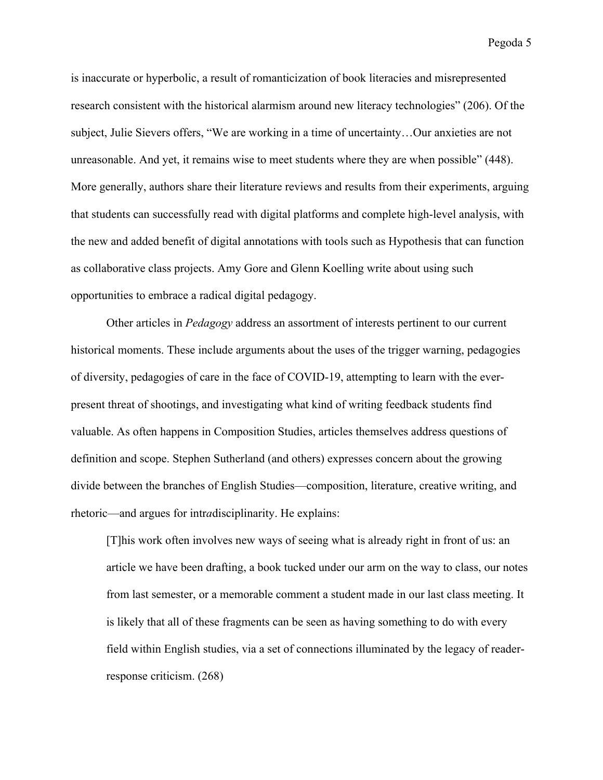is inaccurate or hyperbolic, a result of romanticization of book literacies and misrepresented research consistent with the historical alarmism around new literacy technologies" (206). Of the subject, Julie Sievers offers, "We are working in a time of uncertainty…Our anxieties are not unreasonable. And yet, it remains wise to meet students where they are when possible" (448). More generally, authors share their literature reviews and results from their experiments, arguing that students can successfully read with digital platforms and complete high-level analysis, with the new and added benefit of digital annotations with tools such as Hypothesis that can function as collaborative class projects. Amy Gore and Glenn Koelling write about using such opportunities to embrace a radical digital pedagogy.

Other articles in *Pedagogy* address an assortment of interests pertinent to our current historical moments. These include arguments about the uses of the trigger warning, pedagogies of diversity, pedagogies of care in the face of COVID-19, attempting to learn with the everpresent threat of shootings, and investigating what kind of writing feedback students find valuable. As often happens in Composition Studies, articles themselves address questions of definition and scope. Stephen Sutherland (and others) expresses concern about the growing divide between the branches of English Studies—composition, literature, creative writing, and rhetoric—and argues for intr*a*disciplinarity. He explains:

[T]his work often involves new ways of seeing what is already right in front of us: an article we have been drafting, a book tucked under our arm on the way to class, our notes from last semester, or a memorable comment a student made in our last class meeting. It is likely that all of these fragments can be seen as having something to do with every field within English studies, via a set of connections illuminated by the legacy of readerresponse criticism. (268)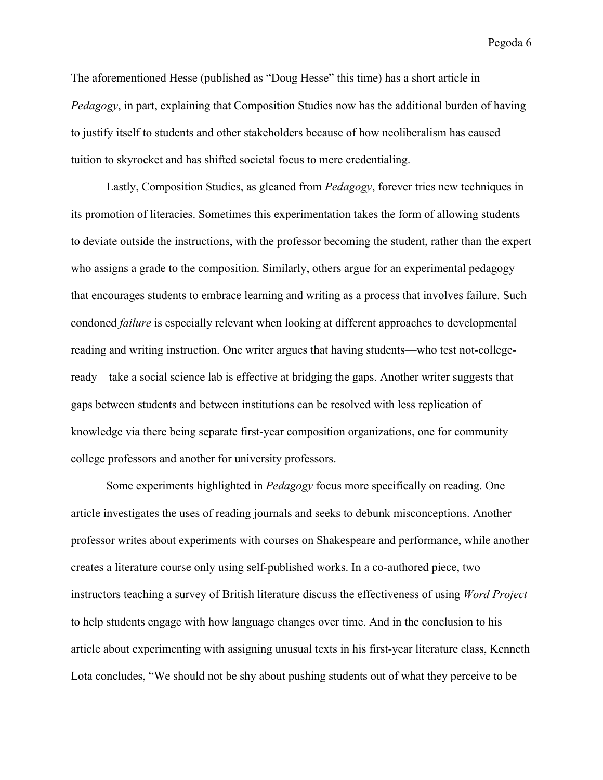The aforementioned Hesse (published as "Doug Hesse" this time) has a short article in *Pedagogy*, in part, explaining that Composition Studies now has the additional burden of having to justify itself to students and other stakeholders because of how neoliberalism has caused tuition to skyrocket and has shifted societal focus to mere credentialing.

Lastly, Composition Studies, as gleaned from *Pedagogy*, forever tries new techniques in its promotion of literacies. Sometimes this experimentation takes the form of allowing students to deviate outside the instructions, with the professor becoming the student, rather than the expert who assigns a grade to the composition. Similarly, others argue for an experimental pedagogy that encourages students to embrace learning and writing as a process that involves failure. Such condoned *failure* is especially relevant when looking at different approaches to developmental reading and writing instruction. One writer argues that having students—who test not-collegeready—take a social science lab is effective at bridging the gaps. Another writer suggests that gaps between students and between institutions can be resolved with less replication of knowledge via there being separate first-year composition organizations, one for community college professors and another for university professors.

Some experiments highlighted in *Pedagogy* focus more specifically on reading. One article investigates the uses of reading journals and seeks to debunk misconceptions. Another professor writes about experiments with courses on Shakespeare and performance, while another creates a literature course only using self-published works. In a co-authored piece, two instructors teaching a survey of British literature discuss the effectiveness of using *Word Project* to help students engage with how language changes over time. And in the conclusion to his article about experimenting with assigning unusual texts in his first-year literature class, Kenneth Lota concludes, "We should not be shy about pushing students out of what they perceive to be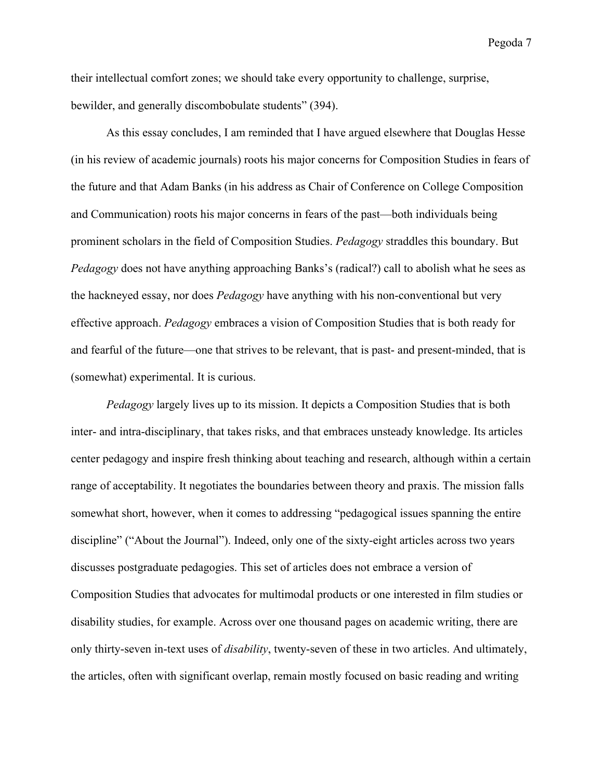their intellectual comfort zones; we should take every opportunity to challenge, surprise, bewilder, and generally discombobulate students" (394).

As this essay concludes, I am reminded that I have argued elsewhere that Douglas Hesse (in his review of academic journals) roots his major concerns for Composition Studies in fears of the future and that Adam Banks (in his address as Chair of Conference on College Composition and Communication) roots his major concerns in fears of the past—both individuals being prominent scholars in the field of Composition Studies. *Pedagogy* straddles this boundary. But *Pedagogy* does not have anything approaching Banks's (radical?) call to abolish what he sees as the hackneyed essay, nor does *Pedagogy* have anything with his non-conventional but very effective approach. *Pedagogy* embraces a vision of Composition Studies that is both ready for and fearful of the future—one that strives to be relevant, that is past- and present-minded, that is (somewhat) experimental. It is curious.

*Pedagogy* largely lives up to its mission. It depicts a Composition Studies that is both inter- and intra-disciplinary, that takes risks, and that embraces unsteady knowledge. Its articles center pedagogy and inspire fresh thinking about teaching and research, although within a certain range of acceptability. It negotiates the boundaries between theory and praxis. The mission falls somewhat short, however, when it comes to addressing "pedagogical issues spanning the entire discipline" ("About the Journal"). Indeed, only one of the sixty-eight articles across two years discusses postgraduate pedagogies. This set of articles does not embrace a version of Composition Studies that advocates for multimodal products or one interested in film studies or disability studies, for example. Across over one thousand pages on academic writing, there are only thirty-seven in-text uses of *disability*, twenty-seven of these in two articles. And ultimately, the articles, often with significant overlap, remain mostly focused on basic reading and writing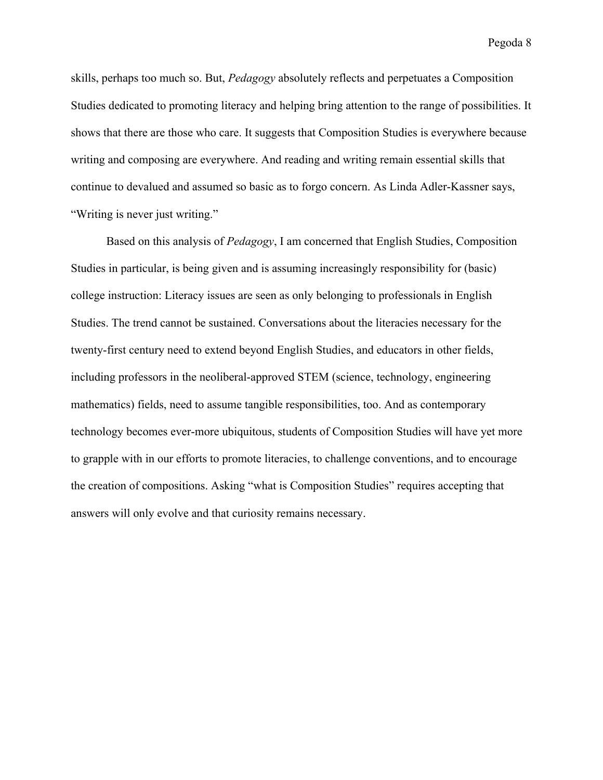skills, perhaps too much so. But, *Pedagogy* absolutely reflects and perpetuates a Composition Studies dedicated to promoting literacy and helping bring attention to the range of possibilities. It shows that there are those who care. It suggests that Composition Studies is everywhere because writing and composing are everywhere. And reading and writing remain essential skills that continue to devalued and assumed so basic as to forgo concern. As Linda Adler-Kassner says, "Writing is never just writing."

Based on this analysis of *Pedagogy*, I am concerned that English Studies, Composition Studies in particular, is being given and is assuming increasingly responsibility for (basic) college instruction: Literacy issues are seen as only belonging to professionals in English Studies. The trend cannot be sustained. Conversations about the literacies necessary for the twenty-first century need to extend beyond English Studies, and educators in other fields, including professors in the neoliberal-approved STEM (science, technology, engineering mathematics) fields, need to assume tangible responsibilities, too. And as contemporary technology becomes ever-more ubiquitous, students of Composition Studies will have yet more to grapple with in our efforts to promote literacies, to challenge conventions, and to encourage the creation of compositions. Asking "what is Composition Studies" requires accepting that answers will only evolve and that curiosity remains necessary.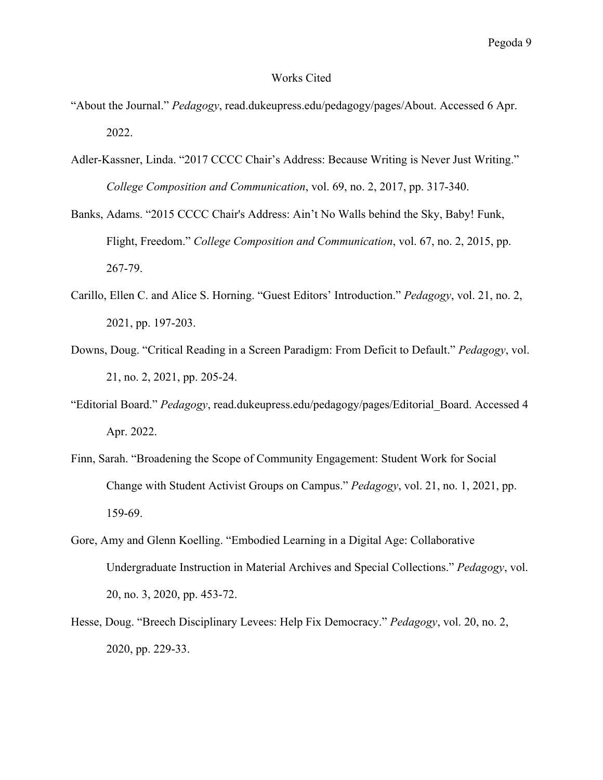## Works Cited

- "About the Journal." *Pedagogy*, read.dukeupress.edu/pedagogy/pages/About. Accessed 6 Apr. 2022.
- Adler-Kassner, Linda. "2017 CCCC Chair's Address: Because Writing is Never Just Writing." *College Composition and Communication*, vol. 69, no. 2, 2017, pp. 317-340.
- Banks, Adams. "2015 CCCC Chair's Address: Ain't No Walls behind the Sky, Baby! Funk, Flight, Freedom." *College Composition and Communication*, vol. 67, no. 2, 2015, pp. 267-79.
- Carillo, Ellen C. and Alice S. Horning. "Guest Editors' Introduction." *Pedagogy*, vol. 21, no. 2, 2021, pp. 197-203.
- Downs, Doug. "Critical Reading in a Screen Paradigm: From Deficit to Default." *Pedagogy*, vol. 21, no. 2, 2021, pp. 205-24.
- "Editorial Board." *Pedagogy*, read.dukeupress.edu/pedagogy/pages/Editorial\_Board. Accessed 4 Apr. 2022.
- Finn, Sarah. "Broadening the Scope of Community Engagement: Student Work for Social Change with Student Activist Groups on Campus." *Pedagogy*, vol. 21, no. 1, 2021, pp. 159-69.
- Gore, Amy and Glenn Koelling. "Embodied Learning in a Digital Age: Collaborative Undergraduate Instruction in Material Archives and Special Collections." *Pedagogy*, vol. 20, no. 3, 2020, pp. 453-72.
- Hesse, Doug. "Breech Disciplinary Levees: Help Fix Democracy." *Pedagogy*, vol. 20, no. 2, 2020, pp. 229-33.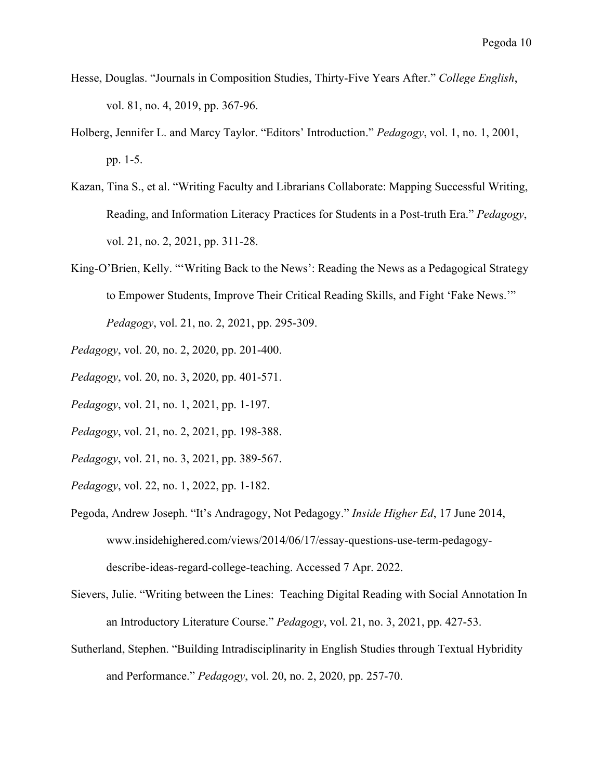- Hesse, Douglas. "Journals in Composition Studies, Thirty-Five Years After." *College English*, vol. 81, no. 4, 2019, pp. 367-96.
- Holberg, Jennifer L. and Marcy Taylor. "Editors' Introduction." *Pedagogy*, vol. 1, no. 1, 2001, pp. 1-5.
- Kazan, Tina S., et al. "Writing Faculty and Librarians Collaborate: Mapping Successful Writing, Reading, and Information Literacy Practices for Students in a Post-truth Era." *Pedagogy*, vol. 21, no. 2, 2021, pp. 311-28.
- King-O'Brien, Kelly. "'Writing Back to the News': Reading the News as a Pedagogical Strategy to Empower Students, Improve Their Critical Reading Skills, and Fight 'Fake News.'" *Pedagogy*, vol. 21, no. 2, 2021, pp. 295-309.
- *Pedagogy*, vol. 20, no. 2, 2020, pp. 201-400.
- *Pedagogy*, vol. 20, no. 3, 2020, pp. 401-571.
- *Pedagogy*, vol. 21, no. 1, 2021, pp. 1-197.
- *Pedagogy*, vol. 21, no. 2, 2021, pp. 198-388.
- *Pedagogy*, vol. 21, no. 3, 2021, pp. 389-567.
- *Pedagogy*, vol. 22, no. 1, 2022, pp. 1-182.
- Pegoda, Andrew Joseph. "It's Andragogy, Not Pedagogy." *Inside Higher Ed*, 17 June 2014, www.insidehighered.com/views/2014/06/17/essay-questions-use-term-pedagogydescribe-ideas-regard-college-teaching. Accessed 7 Apr. 2022.
- Sievers, Julie. "Writing between the Lines: Teaching Digital Reading with Social Annotation In an Introductory Literature Course." *Pedagogy*, vol. 21, no. 3, 2021, pp. 427-53.
- Sutherland, Stephen. "Building Intradisciplinarity in English Studies through Textual Hybridity and Performance." *Pedagogy*, vol. 20, no. 2, 2020, pp. 257-70.